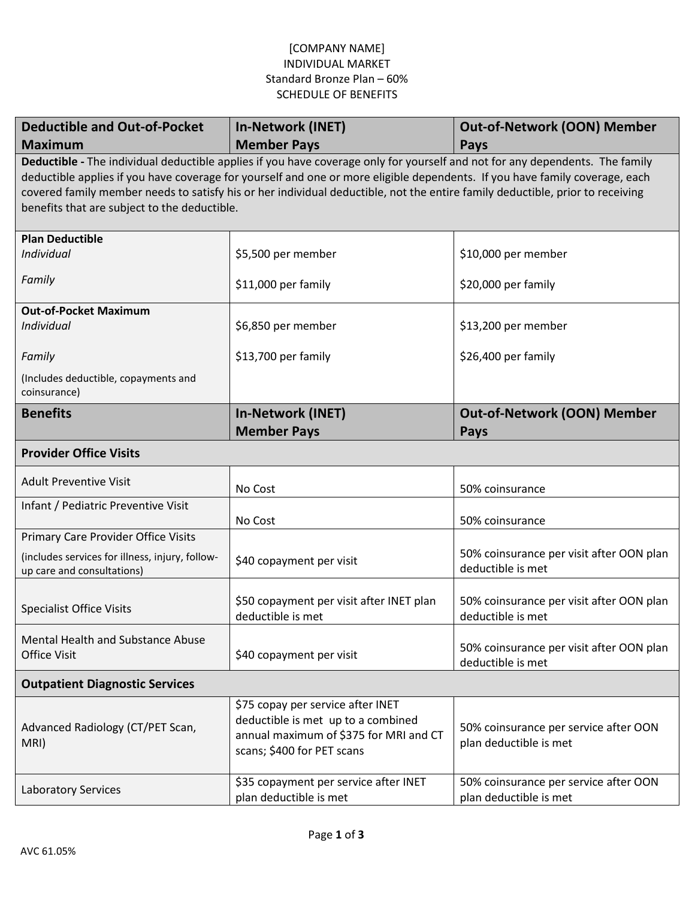## [COMPANY NAME] INDIVIDUAL MARKET Standard Bronze Plan – 60% SCHEDULE OF BENEFITS

| <b>Deductible and Out-of-Pocket</b>                                                                                                                                                                                                                                                                                                                                                                                                          | <b>In-Network (INET)</b>                                                                                                                        | <b>Out-of-Network (OON) Member</b>                              |  |
|----------------------------------------------------------------------------------------------------------------------------------------------------------------------------------------------------------------------------------------------------------------------------------------------------------------------------------------------------------------------------------------------------------------------------------------------|-------------------------------------------------------------------------------------------------------------------------------------------------|-----------------------------------------------------------------|--|
| <b>Maximum</b>                                                                                                                                                                                                                                                                                                                                                                                                                               | <b>Member Pays</b>                                                                                                                              | Pays                                                            |  |
| Deductible - The individual deductible applies if you have coverage only for yourself and not for any dependents. The family<br>deductible applies if you have coverage for yourself and one or more eligible dependents. If you have family coverage, each<br>covered family member needs to satisfy his or her individual deductible, not the entire family deductible, prior to receiving<br>benefits that are subject to the deductible. |                                                                                                                                                 |                                                                 |  |
| <b>Plan Deductible</b>                                                                                                                                                                                                                                                                                                                                                                                                                       |                                                                                                                                                 |                                                                 |  |
| Individual                                                                                                                                                                                                                                                                                                                                                                                                                                   | \$5,500 per member                                                                                                                              | \$10,000 per member                                             |  |
| Family                                                                                                                                                                                                                                                                                                                                                                                                                                       | \$11,000 per family                                                                                                                             | \$20,000 per family                                             |  |
| <b>Out-of-Pocket Maximum</b>                                                                                                                                                                                                                                                                                                                                                                                                                 |                                                                                                                                                 |                                                                 |  |
| <b>Individual</b>                                                                                                                                                                                                                                                                                                                                                                                                                            | \$6,850 per member                                                                                                                              | \$13,200 per member                                             |  |
| Family                                                                                                                                                                                                                                                                                                                                                                                                                                       | \$13,700 per family                                                                                                                             | \$26,400 per family                                             |  |
| (Includes deductible, copayments and<br>coinsurance)                                                                                                                                                                                                                                                                                                                                                                                         |                                                                                                                                                 |                                                                 |  |
| <b>Benefits</b>                                                                                                                                                                                                                                                                                                                                                                                                                              | <b>In-Network (INET)</b><br><b>Member Pays</b>                                                                                                  | <b>Out-of-Network (OON) Member</b><br>Pays                      |  |
| <b>Provider Office Visits</b>                                                                                                                                                                                                                                                                                                                                                                                                                |                                                                                                                                                 |                                                                 |  |
| <b>Adult Preventive Visit</b>                                                                                                                                                                                                                                                                                                                                                                                                                | No Cost                                                                                                                                         | 50% coinsurance                                                 |  |
| Infant / Pediatric Preventive Visit                                                                                                                                                                                                                                                                                                                                                                                                          | No Cost                                                                                                                                         | 50% coinsurance                                                 |  |
| <b>Primary Care Provider Office Visits</b>                                                                                                                                                                                                                                                                                                                                                                                                   |                                                                                                                                                 |                                                                 |  |
| (includes services for illness, injury, follow-<br>up care and consultations)                                                                                                                                                                                                                                                                                                                                                                | \$40 copayment per visit                                                                                                                        | 50% coinsurance per visit after OON plan<br>deductible is met   |  |
| <b>Specialist Office Visits</b>                                                                                                                                                                                                                                                                                                                                                                                                              | \$50 copayment per visit after INET plan<br>deductible is met                                                                                   | 50% coinsurance per visit after OON plan<br>deductible is met   |  |
| Mental Health and Substance Abuse<br><b>Office Visit</b>                                                                                                                                                                                                                                                                                                                                                                                     | \$40 copayment per visit                                                                                                                        | 50% coinsurance per visit after OON plan<br>deductible is met   |  |
| <b>Outpatient Diagnostic Services</b>                                                                                                                                                                                                                                                                                                                                                                                                        |                                                                                                                                                 |                                                                 |  |
| Advanced Radiology (CT/PET Scan,<br>MRI)                                                                                                                                                                                                                                                                                                                                                                                                     | \$75 copay per service after INET<br>deductible is met up to a combined<br>annual maximum of \$375 for MRI and CT<br>scans; \$400 for PET scans | 50% coinsurance per service after OON<br>plan deductible is met |  |
| <b>Laboratory Services</b>                                                                                                                                                                                                                                                                                                                                                                                                                   | \$35 copayment per service after INET<br>plan deductible is met                                                                                 | 50% coinsurance per service after OON<br>plan deductible is met |  |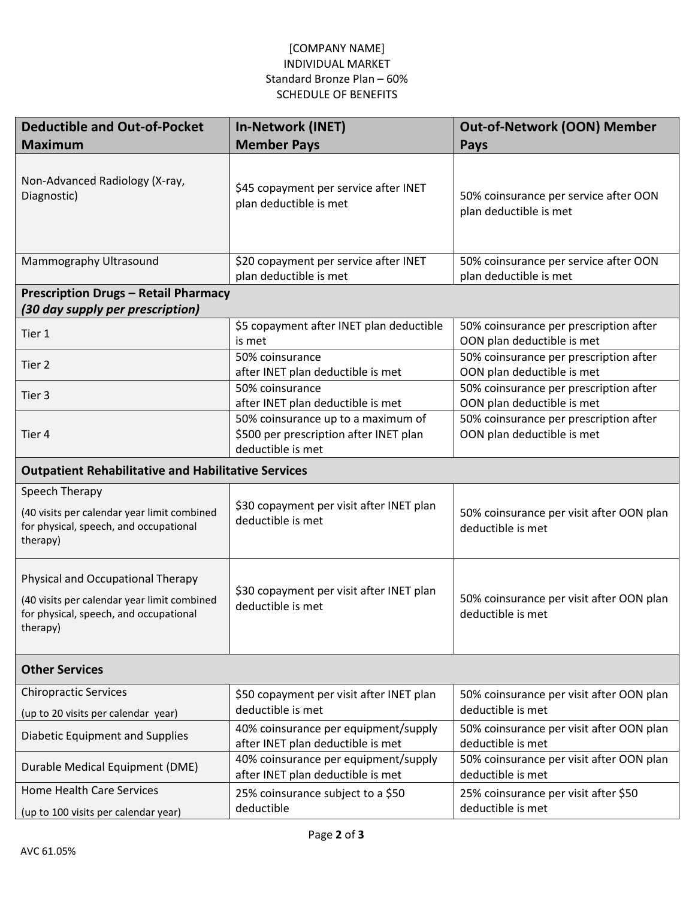## [COMPANY NAME] INDIVIDUAL MARKET Standard Bronze Plan – 60% SCHEDULE OF BENEFITS

| <b>Deductible and Out-of-Pocket</b>                                                                                                    | <b>In-Network (INET)</b>                                                                          | <b>Out-of-Network (OON) Member</b>                                   |  |  |
|----------------------------------------------------------------------------------------------------------------------------------------|---------------------------------------------------------------------------------------------------|----------------------------------------------------------------------|--|--|
| <b>Maximum</b>                                                                                                                         | <b>Member Pays</b>                                                                                | <b>Pays</b>                                                          |  |  |
| Non-Advanced Radiology (X-ray,<br>Diagnostic)                                                                                          | \$45 copayment per service after INET<br>plan deductible is met                                   | 50% coinsurance per service after OON<br>plan deductible is met      |  |  |
| Mammography Ultrasound                                                                                                                 | \$20 copayment per service after INET<br>plan deductible is met                                   | 50% coinsurance per service after OON<br>plan deductible is met      |  |  |
| <b>Prescription Drugs - Retail Pharmacy</b>                                                                                            |                                                                                                   |                                                                      |  |  |
| (30 day supply per prescription)                                                                                                       |                                                                                                   |                                                                      |  |  |
| Tier 1                                                                                                                                 | \$5 copayment after INET plan deductible<br>is met                                                | 50% coinsurance per prescription after<br>OON plan deductible is met |  |  |
| Tier <sub>2</sub>                                                                                                                      | 50% coinsurance<br>after INET plan deductible is met                                              | 50% coinsurance per prescription after<br>OON plan deductible is met |  |  |
| Tier 3                                                                                                                                 | 50% coinsurance<br>after INET plan deductible is met                                              | 50% coinsurance per prescription after<br>OON plan deductible is met |  |  |
| Tier 4                                                                                                                                 | 50% coinsurance up to a maximum of<br>\$500 per prescription after INET plan<br>deductible is met | 50% coinsurance per prescription after<br>OON plan deductible is met |  |  |
| <b>Outpatient Rehabilitative and Habilitative Services</b>                                                                             |                                                                                                   |                                                                      |  |  |
| Speech Therapy<br>(40 visits per calendar year limit combined<br>for physical, speech, and occupational<br>therapy)                    | \$30 copayment per visit after INET plan<br>deductible is met                                     | 50% coinsurance per visit after OON plan<br>deductible is met        |  |  |
| Physical and Occupational Therapy<br>(40 visits per calendar year limit combined<br>for physical, speech, and occupational<br>therapy) | \$30 copayment per visit after INET plan<br>deductible is met                                     | 50% coinsurance per visit after OON plan<br>deductible is met        |  |  |
| <b>Other Services</b>                                                                                                                  |                                                                                                   |                                                                      |  |  |
| <b>Chiropractic Services</b><br>(up to 20 visits per calendar year)                                                                    | \$50 copayment per visit after INET plan<br>deductible is met                                     | 50% coinsurance per visit after OON plan<br>deductible is met        |  |  |
| Diabetic Equipment and Supplies                                                                                                        | 40% coinsurance per equipment/supply<br>after INET plan deductible is met                         | 50% coinsurance per visit after OON plan<br>deductible is met        |  |  |
| Durable Medical Equipment (DME)                                                                                                        | 40% coinsurance per equipment/supply<br>after INET plan deductible is met                         | 50% coinsurance per visit after OON plan<br>deductible is met        |  |  |
| <b>Home Health Care Services</b><br>(up to 100 visits per calendar year)                                                               | 25% coinsurance subject to a \$50<br>deductible                                                   | 25% coinsurance per visit after \$50<br>deductible is met            |  |  |
|                                                                                                                                        |                                                                                                   |                                                                      |  |  |